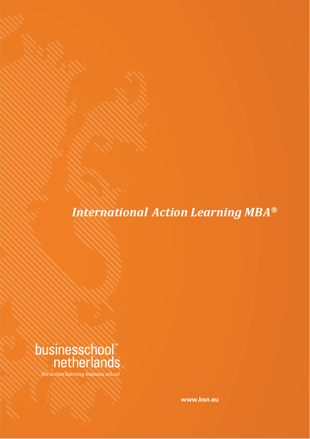*International Action Learning MBA®*



the action learning business school

**www.bsn.eu**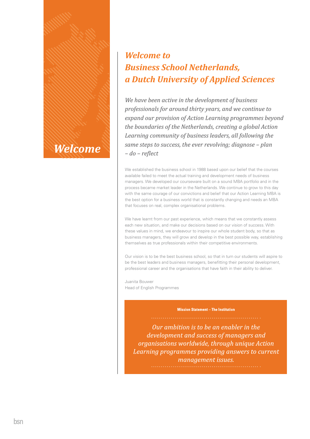

# *Welcome to Business School Netherlands, a Dutch University of Applied Sciences*

*We have been active in the development of business professionals for around thirty years, and we continue to expand our provision of Action Learning programmes beyond the boundaries of the Netherlands, creating a global Action Learning community of business leaders, all following the same steps to success, the ever revolving; diagnose – plan – do – reϔlect*

We established the business school in 1988 based upon our belief that the courses available failed to meet the actual training and development needs of business managers. We developed our courseware built on a sound MBA portfolio and in the process became market leader in the Netherlands. We continue to grow to this day with the same courage of our convictions and belief that our Action Learning MBA is the best option for a business world that is constantly changing and needs an MBA that focuses on real, complex organisational problems.

We have learnt from our past experience, which means that we constantly assess each new situation, and make our decisions based on our vision of success. With these values in mind, we endeavour to inspire our whole student body, so that as business managers, they will grow and develop in the best possible way, establishing themselves as true professionals within their competitive environments.

Our vision is to be the best business school, so that in turn our students will aspire to be the best leaders and business managers, benefitting their personal development, professional career and the organisations that have faith in their ability to deliver.

Juanita Bouwer Head of English Programmes

#### **Mission Statement - The Institution**

Our ambition is to be an enabler in the development and success of managers and organisations worldwide, through unique Action Learning programmes providing answers to current management issues.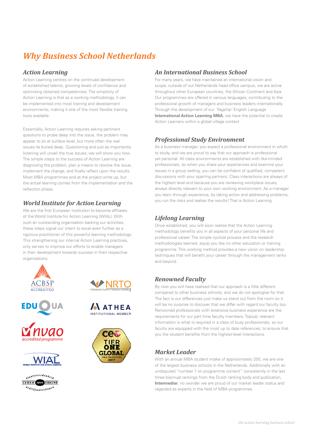# *Why Business School Netherlands*

#### *Action Learning*

Action Learning centres on the continued development of established talents, growing levels of confidence and optimising obtained competencies. The simplicity of Action Learning is that as a working methodology, it can be implemented into most training and development environments; making it one of the most flexible training tools available.

Essentially, Action Learning requires asking pertinent questions to probe deep into the issue, the problem may appear to sit at surface level, but more often the real issues lie buried deep. Questioning and just as importantly listening will unveil the true issues; we will show you how. The simple steps to the success of Action Learning are diagnosing the problem, plan a means to resolve the issue, implement the change, and finally reflect upon the results. Most MBA programmes end at the project write up, but the actual learning comes from the implementation and the reflection phase.

### *World Institute for Action Learning*

We are the first European institution to become affiliates of the World Institute for Action Learning (WIAL). With such an outstanding organisation backing our activities, these steps signal our intent to excel even further as a rigorous practitioner of this powerful learning methodology. This strengthening our internal Action Learning practices, only serves to improve our efforts to enable managers in their development towards success in their respective organisations.











ulanttevredenheid CEDEO OPER ERKEND  $\overline{e_{def}}_{ij}$  isopleidingen





#### *An International Business School*

For many years, we have maintained an international vision and scope; outside of our Netherlands head office campus, we are active throughout other European countries, the African Continent and Asia. Our programmes are offered in various languages, contributing to the professional growth of managers and business leaders internationally. Through the development of our 'flagship' English Language **International Action Learning MBA**, we have the potential to create Action Learners within a global village context

#### *Professional Study Environment*

As a business manager, you expect a professional environment in which to study, and we are proud to say that our approach is professional yet personal. All class environments are established with like-minded professionals, so when you share your experiences and examine your issues in a group setting, you can be confident of qualified, competent discussions with your sparring partners. Class interactions are always of the highest level and because you are reviewing workplace issues, always directly relevant to your own working environment. As a manager you learn through experience, by taking action and addressing problems, you run the risks and realise the results! That is Action Learning.

### *Lifelong Learning*

Once established, you will soon realise that the Action Learning methodology benefits you in all aspects of your personal life and professional career. The simple cyclical process and the research methodologies learned, equip you like no other education or training programme. This working method provides a new vision on leadership techniques that will benefit your career through the management ranks and beyond.

### *Renowned Faculty*

By now you will have realised that our approach is a little different compared to other business schools, and we do not apologise for that. The fact is our differences just make us stand out from the norm so it will be no surprise to discover that we differ with regard our faculty too. Renowned professionals with extensive business experience are the requirements for our part time faculty members. Topical, relevant information is what is required in a class of busy professionals, so our faculty are equipped with the most up to date references, to ensure that you the student benefits from the highest-level interactions.

### *Market Leader*

With an annual MBA student intake of approximately 200, we are one of the largest business schools in the Netherlands. Additionally with an undisputed "number 1 on programme content" consistently in the last three biannual rankings from the Dutch ranking body and publication, **Intermediar**, no wonder we are proud of our market leader status and regarded as experts in the field of MBA programmes.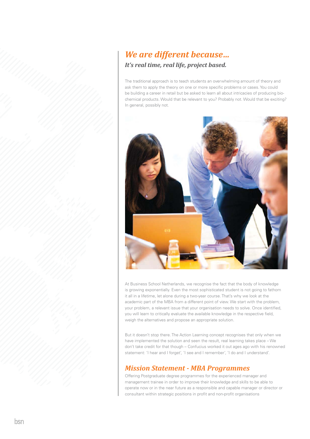## *We are different because… It's real time, real life, project based.*

The traditional approach is to teach students an overwhelming amount of theory and ask them to apply the theory on one or more specific problems or cases. You could be building a career in retail but be asked to learn all about intricacies of producing biochemical products. Would that be relevant to you? Probably not. Would that be exciting? In general, possibly not.



At Business School Netherlands, we recognise the fact that the body of knowledge is growing exponentially. Even the most sophisticated student is not going to fathom it all in a lifetime, let alone during a two-year course. That's why we look at the academic part of the MBA from a different point of view. We start with the problem, your problem, a relevant issue that your organisation needs to solve. Once identified, you will learn to critically evaluate the available knowledge in the respective field, weigh the alternatives and propose an appropriate solution.

But it doesn't stop there. The Action Learning concept recognises that only when we have implemented the solution and seen the result, real learning takes place – We don't take credit for that though – Confucius worked it out ages ago with his renowned statement: 'I hear and I forget', 'I see and I remember', 'I do and I understand'.

## *Mission Statement - MBA Programmes*

Offering Postgraduate degree programmes for the experienced manager and management trainee in order to improve their knowledge and skills to be able to operate now or in the near future as a responsible and capable manager or director or consultant within strategic positions in profit and non-profit organisations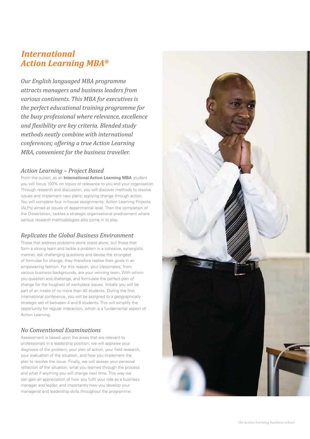## *Action Learning MBA® International*

*Our English languaged MBA programme attracts managers and business leaders from various continents. This MBA for executives is the perfect educational training programme for the busy professional where relevance, excellence and ϔlexibility are key criteria. Blended study methods neatly combine with international conferences; offering a true Action Learning MBA, convenient for the business traveller.*

#### *Action Learning – Project Based*

From the outset, as an **International Action Learning MBA** student you will focus 100% on topics of relevance to you and your organisation. Through research and discussion, you will discover methods to resolve issues and implement new plans; applying change through action. You will complete four in-house assignments; Action Learning Projects (ALPs) aimed at issues of departmental level. Then the completion of the Dissertation, tackles a strategic organisational predicament where various research methodologies also come in to play.

#### *Replicates the Global Business Environment*

Those that address problems alone stand alone, but those that form a strong team and tackle a problem in a cohesive, synergistic manner, ask challenging questions and devise the strongest of formulas for change, they therefore realise their goals in an empowering fashion. For this reason, your classmates, from various business backgrounds, are your winning team. With whom you question and challenge, and formulate the perfect plan of change for the toughest of workplace issues. Initially you will be part of an intake of no more than 40 students. During the first international conference, you will be assigned to a geographically strategic set of between 4 and 8 students. This will simplify the opportunity for regular interaction, which is a fundamental aspect of Action Learning.

#### *No Conventional Examinations*

Assessment is based upon the areas that are relevant to professionals in a leadership position; we will appraise your diagnosis of the problem, your plan of action, your field research, your evaluation of the situation, and how you implement the plan to resolve the issue. Finally, we will assess your personal reflection of the situation; what you learned through the process and what if anything you will change next time. This way we can gain an appreciation of how you fulfil your role as a business manager and leader, and importantly how you develop your managerial and leadership skills throughout the programme.

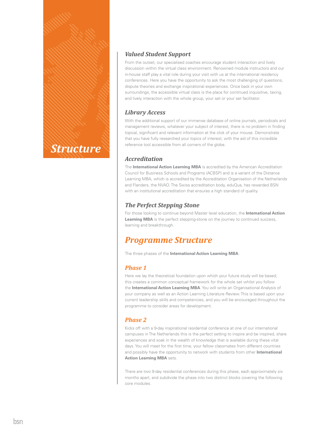

### *Valued Student Support*

From the outset, our specialised coaches encourage student interaction and lively discussion within the virtual class environment. Renowned module instructors and our in-house staff play a vital role during your visit with us at the international residency conferences. Here you have the opportunity to ask the most challenging of questions, dispute theories and exchange inspirational experiences. Once back in your own surroundings, the accessible virtual class is the place for continued inquisitive, taxing, and lively interaction with the whole group, your set or your set facilitator.

#### *Library Access*

With the additional support of our immense database of online journals, periodicals and management reviews, whatever your subject of interest, there is no problem in finding topical, significant and relevant information at the click of your mouse. Demonstrate that you have fully researched your topics of interest, with the aid of this incredible reference tool accessible from all corners of the globe.

### *Accreditation*

The **International Action Learning MBA** is accredited by the American Accreditation Council for Business Schools and Programs (ACBSP) and is a variant of the Distance Learning MBA, which is accredited by the Accreditation Organisation of the Netherlands and Flanders, the NVAO. The Swiss accreditation body, eduQua, has rewarded BSN with an institutional accreditation that ensures a high standard of quality.

### *The Perfect Stepping Stone*

For those looking to continue beyond Master level education, the **International Action**  Learning MBA is the perfect stepping-stone on the journey to continued success, learning and breakthrough.

## *Programme Structure*

The three phases of the **International Action Learning MBA**:

### *Phase 1*

Here we lay the theoretical foundation upon which your future study will be based; this creates a common conceptual framework for the whole set whilst you follow the **International Action Learning MBA**. You will write an Organisational Analysis of your company as well as an Action Learning Literature Review. This is based upon your current leadership skills and competencies, and you will be encouraged throughout the programme to consider areas for development.

### *Phase 2*

Kicks off with a 9-day inspirational residential conference at one of our international campuses in The Netherlands this is the perfect setting to inspire and be inspired, share experiences and soak in the wealth of knowledge that is available during these vital days. You will meet for the first time, your fellow classmates from different countries and possibly have the opportunity to network with students from other **International Action Learning MBA** sets.

There are two 9-day residential conferences during this phase, each approximately six months apart, and subdivide the phase into two distinct blocks covering the following core modules.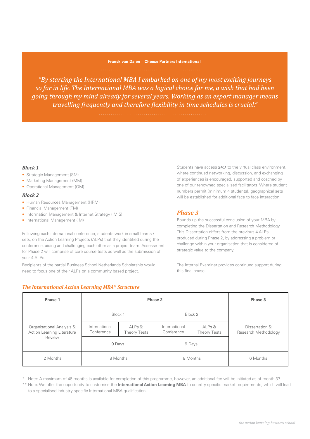## Franck van Dalen - Cheese Partners International

"By starting the International MBA I embarked on one of my most exciting journeys so far in life. The International MBA was a logical choice for me, a wish that had been going through my mind already for several years. Working as an export manager means travelling frequently and therefore flexibility in time schedules is crucial."

#### *Block 1*

- Strategic Management (SM)
- Marketing Management (MM)
- Operational Management (OM)

#### *Block 2*

- Human Resources Management (HRM)
- Financial Management (FM)
- Information Management & Internet Strategy (IMIS)
- International Management (IM)

Following each international conference, students work in small teams / sets, on the Action Learning Projects (ALPs) that they identified during the conference, aiding and challenging each other as a project team. Assessment for Phase 2 will comprise of core course tests as well as the submission of your 4 ALPs.

Recipients of the partial Business School Netherlands Scholarship would need to focus one of their ALPs on a community based project.

#### *The International Action Learning MBA® Structure*

Students have access **24:7** to the virtual class environment, where continued networking, discussion, and exchanging of experiences is encouraged, supported and coached by one of our renowned specialised facilitators. Where student numbers permit (minimum 4 students), geographical sets will be established for additional face to face interaction.

#### *Phase 3*

Rounds up the successful conclusion of your MBA by completing the Dissertation and Research Methodology. This Dissertation differs from the previous 4 ALPs produced during Phase 2, by addressing a problem or challenge within your organisation that is considered of strategic value to the company.

The Internal Examiner provides continued support during this final phase.

| Phase 1                                                           | Phase 2                     |                        |                             |                               | Phase 3                                |
|-------------------------------------------------------------------|-----------------------------|------------------------|-----------------------------|-------------------------------|----------------------------------------|
| Organisational Analysis &<br>Action Learning Literature<br>Review | Block 1                     |                        | Block 2                     |                               |                                        |
|                                                                   | International<br>Conference | ALPs &<br>Theory Tests | International<br>Conference | ALPs &<br><b>Theory Tests</b> | Dissertation &<br>Research Methodology |
|                                                                   | 9 Days                      |                        | 9 Days                      |                               |                                        |
| 2 Months                                                          | 8 Months                    |                        | 8 Months                    |                               | 6 Months                               |

\* Note: A maximum of 48 months is available for completion of this programme, however, an additional fee will be initiated as of month 37.

\*\* Note: We offer the opportunity to customise the *International Action Learning MBA* to country specific market requirements, which will lead to a specialised industry specific International MBA qualification.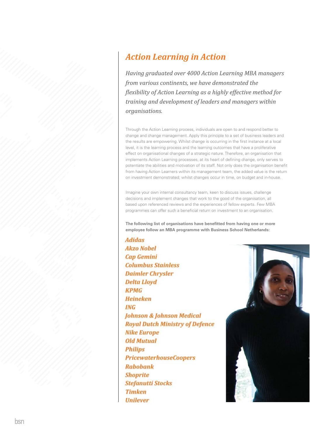## *Action Learning in Action*

*Having graduated over 4000 Action Learning MBA managers from various continents, we have demonstrated the ϔlexibility of Action Learning as a highly effective method for training and development of leaders and managers within organisations.*

Through the Action Learning process, individuals are open to and respond better to change and change management. Apply this principle to a set of business leaders and the results are empowering. Whilst change is occurring in the first instance at a local level, it is the learning process and the learning outcomes that have a proliferative effect on organisational changes of a strategic nature. Therefore, an organisation that implements Action Learning processes, at its heart of defining change, only serves to potentiate the abilities and motivation of its staff. Not only does the organisation benefit from having Action Learners within its management team, the added value is the return on investment demonstrated; whilst changes occur in time, on budget and in-house.

Imagine your own internal consultancy team, keen to discuss issues, challenge decisions and implement changes that work to the good of the organisation, all based upon referenced reviews and the experiences of fellow experts. Few MBA programmes can offer such a beneficial return on investment to an organisation.

The following list of organisations have benefitted from having one or more **employee follow an MBA programme with Business School Netherlands:**

**Adidas Akzo Nobel Cap Gemini Columbus Stainless Daimler Chrysler Delta Lloyd KPMG Heineken ING Johnson & Johnson Medical Royal Dutch Ministry of Defence Nike Europe Old Mutual Philips PricewaterhouseCoopers Rabobank Shoprite Stefanutti Stocks Timken Unilever** 

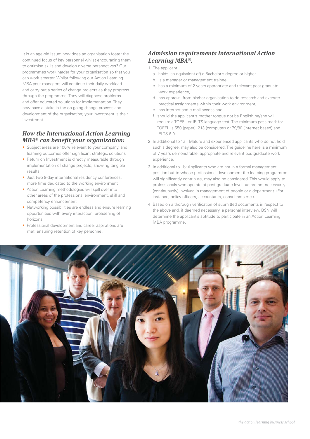It is an age-old issue: how does an organisation foster the continued focus of key personnel whilst encouraging them to optimise skills and develop diverse perspectives? Our programmes work harder for your organisation so that you can work smarter. Whilst following our Action Learning MBA your managers will continue their daily workload and carry out a series of change projects as they progress through the programme. They will diagnose problems and offer educated solutions for implementation. They now have a stake in the on-going change process and development of the organisation; your investment is their investment.

#### *How the International Action Learning MBA<sup>®</sup>* can benefit your organisation:

- Subject areas are 100% relevant to your company, and learning outcomes offer significant strategic solutions
- Return on Investment is directly measurable through implementation of change projects, showing tangible results
- Just two 9-day international residency conferences, more time dedicated to the working environment
- Action Learning methodologies will spill over into other areas of the professional environment, skill and competency enhancement
- Networking possibilities are endless and ensure learning opportunities with every interaction, broadening of horizons
- Professional development and career aspirations are met, ensuring retention of key personnel.

### *Admission requirements International Action Learning MBA®.*

- 1. The applicant:
	- a. holds (an equivalent of) a Bachelor's degree or higher,
- b. is a manager or management trainee,
- c. has a minimum of 2 years appropriate and relevant post graduate work experience,
- d. has approval from his/her organisation to do research and execute practical assignments within their work environment,
- e. has internet and e-mail access and
- f. should the applicant's mother tongue not be English he/she will require a TOEFL or IELTS language test. The minimum pass mark for TOEFL is 550 (paper); 213 (computer) or 79/80 (internet based) and IELTS 6.0.
- 2. In additional to 1a.: Mature and experienced applicants who do not hold such a degree, may also be considered. The guideline here is a minimum of 7 years demonstrable, appropriate and relevant postgraduate work experience.
- 3. In additional to 1b: Applicants who are not in a formal management position but to whose professional development the learning programme will significantly contribute, may also be considered. This would apply to professionals who operate at post graduate level but are not necessarily (continuously) involved in management of people or a department. (For instance; policy officers, accountants, consultants etc.).
- 4. Based on a thorough verification of submitted documents in respect to the above and, if deemed necessary, a personal interview, BSN will determine the applicant's aptitude to participate in an Action Learning MBA programme.

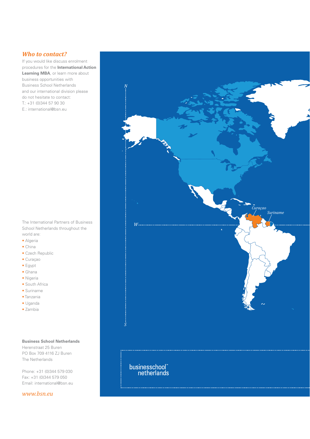#### *Who to contact?*

If you would like discuss enrolment procedures for the **International Action Learning MBA**, or learn more about business opportunities with Business School Netherlands and our international division please do not hesitate to contact: T.: +31 (0)344 57 90 30 E.: international@bsn.eu

The International Partners of Business School Netherlands throughout the world are:

- Algeria
- China
- Czech Republic
- Curaçao
- Egypt
- Ghana
- Nigeria
- South Africa
- Suriname
- Tanzania
- Uganda
- Zambia

**Business School Netherlands** Herenstraat 25 Buren PO Box 709 4116 ZJ Buren The Netherlands

Phone: +31 (0)344 579 030 Fax: +31 (0)344 579 050 Email: international@bsn.eu

*www.bsn.eu*

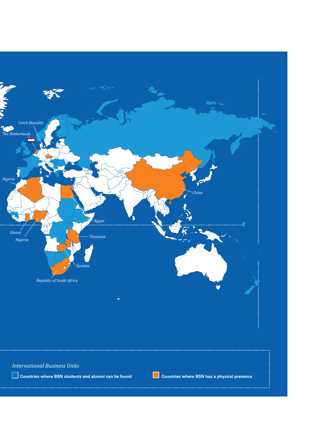